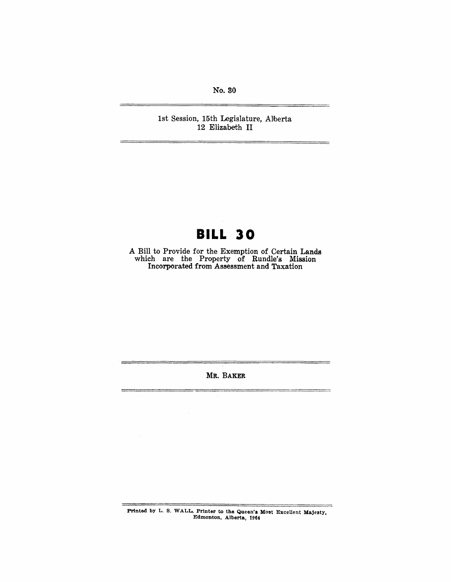No. 80

1st Session, 15th Legislature, Alberta 12 Elizabeth II

# **BILL 30**

A Bill to Provide for the Exemption of Certain Lands which are the Property of Rundle's Mission Incorporated from Assessment and Taxation

MR. BAKER

Printed by L. S. WALL, Printer to the Queen's Most Excellent Majesty, Edmonton, Alberta, 1964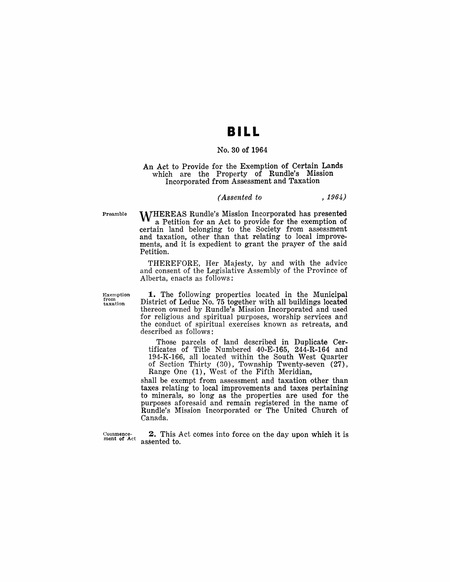# **BILL**

#### No. 30 of 1964

#### An Act to Provide for the Exemption of Certain Lands which are the Property of Rundle's Mission Incorporated from Assessment and Taxation

#### *(Assented to* , 1964)

Preamble

WHEREAS Rundle's Mission Incorporated has presented a Petition for an Act to provide for the exemption of certain land belonging to the Society from assessment and taxation, other than that relating to local improvements, and it is expedient to grant the prayer of the said Petition.

THEREFORE, Her Majesty, by and with the advice and consent of the Legislative Assembly of the Province of Alberta, enacts as follows:

Exemption from taxation

1. The following properties located in the Municipal District of Leduc No. 75 together with all buildings located thereon owned by Rundle's Mission Incorporated and used for religious and spiritual purposes, worship services and the conduct of spiritual exercises known as retreats, and described as follows:

Those parcels of land described in Duplicate Certificates of Title Numbered 40-E-165, 244-R-164 and 194-K-166, all located within the South West Quarter of Section Thirty (30), Township Twenty-seven (27), Range One (1), West of the Fifth Meridian,

shall be exempt from assessment and taxation other than taxes relating to local improvements and taxes pertaining to minerals, so long as the properties are used for the purposes aforesaid and remain registered in the name of Rundle's Mission Incorporated or The United Church of Canada.

Commencement of Act

2. This Act comes into force on the day upon which it is assented to.